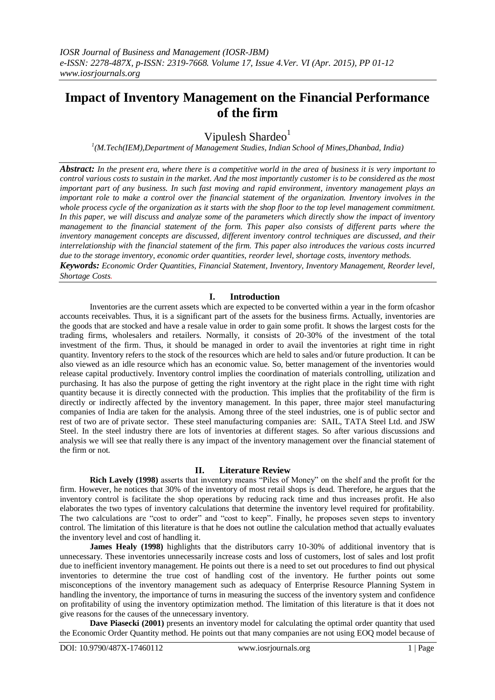# **Impact of Inventory Management on the Financial Performance of the firm**

Vipulesh Shardeo $<sup>1</sup>$ </sup>

*1 (M.Tech(IEM),Department of Management Studies, Indian School of Mines,Dhanbad, India)*

*Abstract: In the present era, where there is a competitive world in the area of business it is very important to control various costs to sustain in the market. And the most importantly customer is to be considered as the most important part of any business. In such fast moving and rapid environment, inventory management plays an important role to make a control over the financial statement of the organization. Inventory involves in the whole process cycle of the organization as it starts with the shop floor to the top level management commitment. In this paper, we will discuss and analyze some of the parameters which directly show the impact of inventory management to the financial statement of the form. This paper also consists of different parts where the inventory management concepts are discussed, different inventory control techniques are discussed, and their interrelationship with the financial statement of the firm. This paper also introduces the various costs incurred due to the storage inventory, economic order quantities, reorder level, shortage costs, inventory methods. Keywords: Economic Order Quantities, Financial Statement, Inventory, Inventory Management, Reorder level,* 

*Shortage Costs.*

#### **I. Introduction**

Inventories are the current assets which are expected to be converted within a year in the form ofcashor accounts receivables. Thus, it is a significant part of the assets for the business firms. Actually, inventories are the goods that are stocked and have a resale value in order to gain some profit. It shows the largest costs for the trading firms, wholesalers and retailers. Normally, it consists of 20-30% of the investment of the total investment of the firm. Thus, it should be managed in order to avail the inventories at right time in right quantity. Inventory refers to the stock of the resources which are held to sales and/or future production. It can be also viewed as an idle resource which has an economic value. So, better management of the inventories would release capital productively. Inventory control implies the coordination of materials controlling, utilization and purchasing. It has also the purpose of getting the right inventory at the right place in the right time with right quantity because it is directly connected with the production. This implies that the profitability of the firm is directly or indirectly affected by the inventory management. In this paper, three major steel manufacturing companies of India are taken for the analysis. Among three of the steel industries, one is of public sector and rest of two are of private sector. These steel manufacturing companies are: SAIL, TATA Steel Ltd. and JSW Steel. In the steel industry there are lots of inventories at different stages. So after various discussions and analysis we will see that really there is any impact of the inventory management over the financial statement of the firm or not.

#### **II. Literature Review**

**Rich Lavely (1998)** asserts that inventory means "Piles of Money" on the shelf and the profit for the firm. However, he notices that 30% of the inventory of most retail shops is dead. Therefore, he argues that the inventory control is facilitate the shop operations by reducing rack time and thus increases profit. He also elaborates the two types of inventory calculations that determine the inventory level required for profitability. The two calculations are "cost to order" and "cost to keep". Finally, he proposes seven steps to inventory control. The limitation of this literature is that he does not outline the calculation method that actually evaluates the inventory level and cost of handling it.

**James Healy (1998)** highlights that the distributors carry 10-30% of additional inventory that is unnecessary. These inventories unnecessarily increase costs and loss of customers, lost of sales and lost profit due to inefficient inventory management. He points out there is a need to set out procedures to find out physical inventories to determine the true cost of handling cost of the inventory. He further points out some misconceptions of the inventory management such as adequacy of Enterprise Resource Planning System in handling the inventory, the importance of turns in measuring the success of the inventory system and confidence on profitability of using the inventory optimization method. The limitation of this literature is that it does not give reasons for the causes of the unnecessary inventory.

**Dave Piasecki (2001)** presents an inventory model for calculating the optimal order quantity that used the Economic Order Quantity method. He points out that many companies are not using EOQ model because of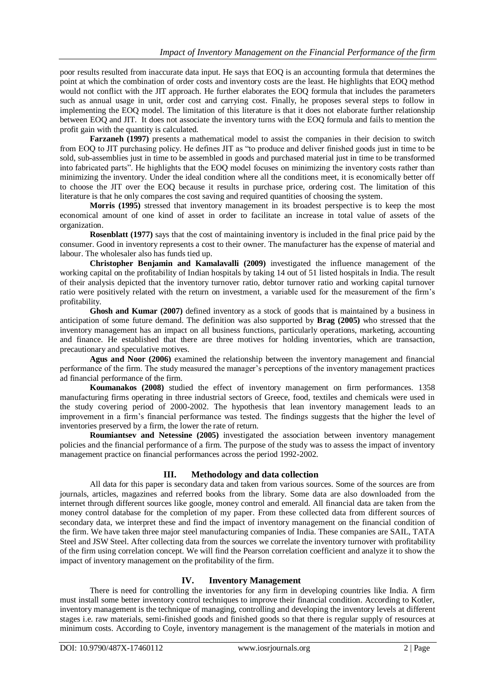poor results resulted from inaccurate data input. He says that EOQ is an accounting formula that determines the point at which the combination of order costs and inventory costs are the least. He highlights that EOQ method would not conflict with the JIT approach. He further elaborates the EOQ formula that includes the parameters such as annual usage in unit, order cost and carrying cost. Finally, he proposes several steps to follow in implementing the EOQ model. The limitation of this literature is that it does not elaborate further relationship between EOQ and JIT. It does not associate the inventory turns with the EOQ formula and fails to mention the profit gain with the quantity is calculated.

**Farzaneh (1997)** presents a mathematical model to assist the companies in their decision to switch from EOQ to JIT purchasing policy. He defines JIT as "to produce and deliver finished goods just in time to be sold, sub-assemblies just in time to be assembled in goods and purchased material just in time to be transformed into fabricated parts". He highlights that the EOQ model focuses on minimizing the inventory costs rather than minimizing the inventory. Under the ideal condition where all the conditions meet, it is economically better off to choose the JIT over the EOQ because it results in purchase price, ordering cost. The limitation of this literature is that he only compares the cost saving and required quantities of choosing the system.

**Morris (1995)** stressed that inventory management in its broadest perspective is to keep the most economical amount of one kind of asset in order to facilitate an increase in total value of assets of the organization.

**Rosenblatt (1977)** says that the cost of maintaining inventory is included in the final price paid by the consumer. Good in inventory represents a cost to their owner. The manufacturer has the expense of material and labour. The wholesaler also has funds tied up.

**Christopher Benjamin and Kamalavalli (2009)** investigated the influence management of the working capital on the profitability of Indian hospitals by taking 14 out of 51 listed hospitals in India. The result of their analysis depicted that the inventory turnover ratio, debtor turnover ratio and working capital turnover ratio were positively related with the return on investment, a variable used for the measurement of the firm's profitability.

**Ghosh and Kumar (2007)** defined inventory as a stock of goods that is maintained by a business in anticipation of some future demand. The definition was also supported by **Brag (2005)** who stressed that the inventory management has an impact on all business functions, particularly operations, marketing, accounting and finance. He established that there are three motives for holding inventories, which are transaction, precautionary and speculative motives.

**Agus and Noor (2006)** examined the relationship between the inventory management and financial performance of the firm. The study measured the manager's perceptions of the inventory management practices ad financial performance of the firm.

**Koumanakos (2008)** studied the effect of inventory management on firm performances. 1358 manufacturing firms operating in three industrial sectors of Greece, food, textiles and chemicals were used in the study covering period of 2000-2002. The hypothesis that lean inventory management leads to an improvement in a firm's financial performance was tested. The findings suggests that the higher the level of inventories preserved by a firm, the lower the rate of return.

**Roumiantsev and Netessine (2005)** investigated the association between inventory management policies and the financial performance of a firm. The purpose of the study was to assess the impact of inventory management practice on financial performances across the period 1992-2002.

#### **III. Methodology and data collection**

All data for this paper is secondary data and taken from various sources. Some of the sources are from journals, articles, magazines and referred books from the library. Some data are also downloaded from the internet through different sources like google, money control and emerald. All financial data are taken from the money control database for the completion of my paper. From these collected data from different sources of secondary data, we interpret these and find the impact of inventory management on the financial condition of the firm. We have taken three major steel manufacturing companies of India. These companies are SAIL, TATA Steel and JSW Steel. After collecting data from the sources we correlate the inventory turnover with profitability of the firm using correlation concept. We will find the Pearson correlation coefficient and analyze it to show the impact of inventory management on the profitability of the firm.

# **IV. Inventory Management**

There is need for controlling the inventories for any firm in developing countries like India. A firm must install some better inventory control techniques to improve their financial condition. According to Kotler, inventory management is the technique of managing, controlling and developing the inventory levels at different stages i.e. raw materials, semi-finished goods and finished goods so that there is regular supply of resources at minimum costs. According to Coyle, inventory management is the management of the materials in motion and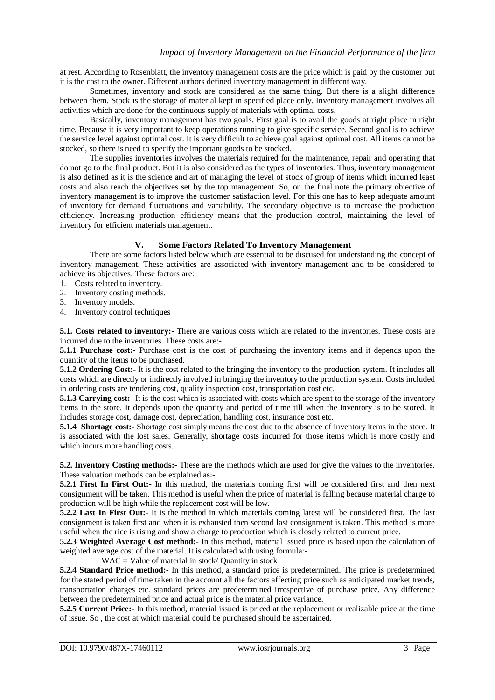at rest. According to Rosenblatt, the inventory management costs are the price which is paid by the customer but it is the cost to the owner. Different authors defined inventory management in different way.

Sometimes, inventory and stock are considered as the same thing. But there is a slight difference between them. Stock is the storage of material kept in specified place only. Inventory management involves all activities which are done for the continuous supply of materials with optimal costs.

Basically, inventory management has two goals. First goal is to avail the goods at right place in right time. Because it is very important to keep operations running to give specific service. Second goal is to achieve the service level against optimal cost. It is very difficult to achieve goal against optimal cost. All items cannot be stocked, so there is need to specify the important goods to be stocked.

The supplies inventories involves the materials required for the maintenance, repair and operating that do not go to the final product. But it is also considered as the types of inventories. Thus, inventory management is also defined as it is the science and art of managing the level of stock of group of items which incurred least costs and also reach the objectives set by the top management. So, on the final note the primary objective of inventory management is to improve the customer satisfaction level. For this one has to keep adequate amount of inventory for demand fluctuations and variability. The secondary objective is to increase the production efficiency. Increasing production efficiency means that the production control, maintaining the level of inventory for efficient materials management.

## **V. Some Factors Related To Inventory Management**

There are some factors listed below which are essential to be discused for understanding the concept of inventory management. These activities are associated with inventory management and to be considered to achieve its objectives. These factors are:

- 1. Costs related to inventory.
- 2. Inventory costing methods.
- 3. Inventory models.
- 4. Inventory control techniques

**5.1. Costs related to inventory:-** There are various costs which are related to the inventories. These costs are incurred due to the inventories. These costs are:-

**5.1.1 Purchase cost:-** Purchase cost is the cost of purchasing the inventory items and it depends upon the quantity of the items to be purchased.

**5.1.2 Ordering Cost:** It is the cost related to the bringing the inventory to the production system. It includes all costs which are directly or indirectly involved in bringing the inventory to the production system. Costs included in ordering costs are tendering cost, quality inspection cost, transportation cost etc.

**5.1.3 Carrying cost:-** It is the cost which is associated with costs which are spent to the storage of the inventory items in the store. It depends upon the quantity and period of time till when the inventory is to be stored. It includes storage cost, damage cost, depreciation, handling cost, insurance cost etc.

**5.1.4 Shortage cost:-** Shortage cost simply means the cost due to the absence of inventory items in the store. It is associated with the lost sales. Generally, shortage costs incurred for those items which is more costly and which incurs more handling costs.

**5.2. Inventory Costing methods:-** These are the methods which are used for give the values to the inventories. These valuation methods can be explained as:-

**5.2.1 First In First Out:-** In this method, the materials coming first will be considered first and then next consignment will be taken. This method is useful when the price of material is falling because material charge to production will be high while the replacement cost will be low.

**5.2.2 Last In First Out:-** It is the method in which materials coming latest will be considered first. The last consignment is taken first and when it is exhausted then second last consignment is taken. This method is more useful when the rice is rising and show a charge to production which is closely related to current price.

**5.2.3 Weighted Average Cost method:-** In this method, material issued price is based upon the calculation of weighted average cost of the material. It is calculated with using formula:-

 $WAC =$  Value of material in stock/ Quantity in stock

**5.2.4 Standard Price method:-** In this method, a standard price is predetermined. The price is predetermined for the stated period of time taken in the account all the factors affecting price such as anticipated market trends, transportation charges etc. standard prices are predetermined irrespective of purchase price. Any difference between the predetermined price and actual price is the material price variance.

**5.2.5 Current Price:-** In this method, material issued is priced at the replacement or realizable price at the time of issue. So , the cost at which material could be purchased should be ascertained.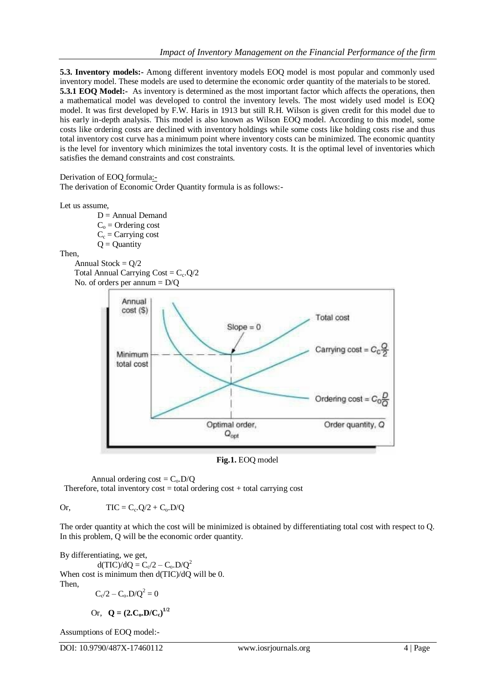**5.3. Inventory models:-** Among different inventory models EOQ model is most popular and commonly used inventory model. These models are used to determine the economic order quantity of the materials to be stored. **5.3.1 EOQ Model:**- As inventory is determined as the most important factor which affects the operations, then a mathematical model was developed to control the inventory levels. The most widely used model is EOQ model. It was first developed by F.W. Haris in 1913 but still R.H. Wilson is given credit for this model due to his early in-depth analysis. This model is also known as Wilson EOQ model. According to this model, some costs like ordering costs are declined with inventory holdings while some costs like holding costs rise and thus total inventory cost curve has a minimum point where inventory costs can be minimized. The economic quantity is the level for inventory which minimizes the total inventory costs. It is the optimal level of inventories which satisfies the demand constraints and cost constraints.

```
Derivation of EOQ formula:-
```
The derivation of Economic Order Quantity formula is as follows:-

Let us assume,

 $D =$  Annual Demand  $C<sub>o</sub>$  = Ordering cost  $C_c$  = Carrying cost  $Q =$ Quantity

Then,

```
Annual Stock = Q/2Total Annual Carrying Cost = C_c \cdot Q/2 No. of orders per annum = D/Q
```


**Fig.1.** EOQ model

Annual ordering  $cost = C_0.D/Q$ Therefore, total inventory  $cost = total$  ordering  $cost + total$  carrying cost

Or,  $TIC = C_c Q/2 + C_o D/Q$ 

The order quantity at which the cost will be minimized is obtained by differentiating total cost with respect to Q. In this problem, Q will be the economic order quantity.

By differentiating, we get, d(TIC)/dQ =  $C_0/2 - C_0 D/Q^2$ When cost is minimum then  $d(TIC)/dO$  will be 0. Then,

 $C_{c}/2 - C_{o}.D/Q^{2} = 0$ 

Or,  $Q = (2.C_0.D/C_c)^{1/2}$ 

Assumptions of EOQ model:-

DOI: 10.9790/487X-17460112 www.iosrjournals.org 4 | Page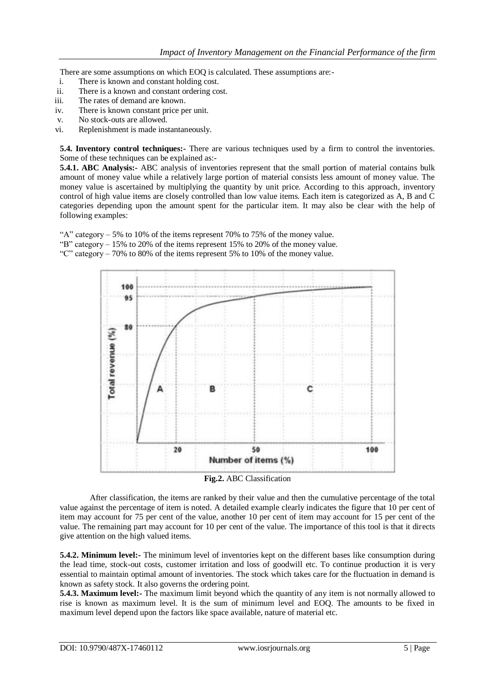There are some assumptions on which EOQ is calculated. These assumptions are:-

- i. There is known and constant holding cost.
- ii. There is a known and constant ordering cost.
- iii. The rates of demand are known.
- iv. There is known constant price per unit.
- v. No stock-outs are allowed.
- vi. Replenishment is made instantaneously.

**5.4. Inventory control techniques:-** There are various techniques used by a firm to control the inventories. Some of these techniques can be explained as:-

**5.4.1. ABC Analysis:-** ABC analysis of inventories represent that the small portion of material contains bulk amount of money value while a relatively large portion of material consists less amount of money value. The money value is ascertained by multiplying the quantity by unit price. According to this approach, inventory control of high value items are closely controlled than low value items. Each item is categorized as A, B and C categories depending upon the amount spent for the particular item. It may also be clear with the help of following examples:

"A" category  $-5\%$  to 10% of the items represent 70% to 75% of the money value.

"B" category  $-15\%$  to 20% of the items represent 15% to 20% of the money value.

"C" category – 70% to 80% of the items represent 5% to 10% of the money value.



After classification, the items are ranked by their value and then the cumulative percentage of the total value against the percentage of item is noted. A detailed example clearly indicates the figure that 10 per cent of item may account for 75 per cent of the value, another 10 per cent of item may account for 15 per cent of the value. The remaining part may account for 10 per cent of the value. The importance of this tool is that it directs give attention on the high valued items.

**5.4.2. Minimum level:-** The minimum level of inventories kept on the different bases like consumption during the lead time, stock-out costs, customer irritation and loss of goodwill etc. To continue production it is very essential to maintain optimal amount of inventories. The stock which takes care for the fluctuation in demand is known as safety stock. It also governs the ordering point.

**5.4.3. Maximum level:-** The maximum limit beyond which the quantity of any item is not normally allowed to rise is known as maximum level. It is the sum of minimum level and EOQ. The amounts to be fixed in maximum level depend upon the factors like space available, nature of material etc.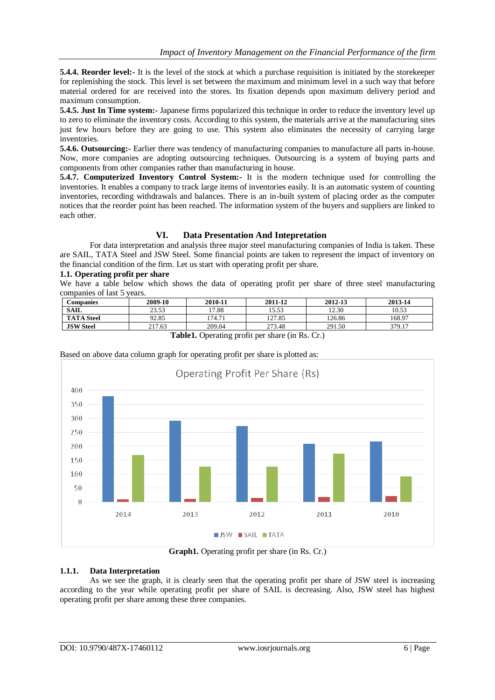**5.4.4. Reorder level:** It is the level of the stock at which a purchase requisition is initiated by the storekeeper for replenishing the stock. This level is set between the maximum and minimum level in a such way that before material ordered for are received into the stores. Its fixation depends upon maximum delivery period and maximum consumption.

**5.4.5. Just In Time system:-** Japanese firms popularized this technique in order to reduce the inventory level up to zero to eliminate the inventory costs. According to this system, the materials arrive at the manufacturing sites just few hours before they are going to use. This system also eliminates the necessity of carrying large inventories.

**5.4.6. Outsourcing:-** Earlier there was tendency of manufacturing companies to manufacture all parts in-house. Now, more companies are adopting outsourcing techniques. Outsourcing is a system of buying parts and components from other companies rather than manufacturing in house.

**5.4.7. Computerized Inventory Control System:-** It is the modern technique used for controlling the inventories. It enables a company to track large items of inventories easily. It is an automatic system of counting inventories, recording withdrawals and balances. There is an in-built system of placing order as the computer notices that the reorder point has been reached. The information system of the buyers and suppliers are linked to each other.

#### **VI. Data Presentation And Intepretation**

For data interpretation and analysis three major steel manufacturing companies of India is taken. These are SAIL, TATA Steel and JSW Steel. Some financial points are taken to represent the impact of inventory on the financial condition of the firm. Let us start with operating profit per share.

#### **1.1. Operating profit per share**

We have a table below which shows the data of operating profit per share of three steel manufacturing companies of last 5 years.

| Companies                                                                                                                                            | 2009-10 | 2010-11 | 2011-12 | 2012-13 | 2013-14 |  |
|------------------------------------------------------------------------------------------------------------------------------------------------------|---------|---------|---------|---------|---------|--|
| <b>SAIL</b>                                                                                                                                          | 23.53   | 17.88   | 15.53   | 12.30   | 10.53   |  |
| <b>TATA Steel</b>                                                                                                                                    | 92.85   | 174.71  | 127.85  | 126.86  | 168.97  |  |
| <b>JSW Steel</b>                                                                                                                                     | 217.63  | 209.04  | 273.48  | 291.50  | 379.17  |  |
| $\mathbf{T}$ -11-1 $\alpha$ , $\beta$ , $\beta$ , $\beta$ , $\beta$ , $\beta$ , $\beta$ , $\beta$ , $\alpha$ , $\beta$ , $\beta$ , $\beta$ , $\beta$ |         |         |         |         |         |  |

**Table1.** Operating profit per share (in Rs. Cr.)



Based on above data column graph for operating profit per share is plotted as:

**Graph1.** Operating profit per share (in Rs. Cr.)

#### **1.1.1. Data Interpretation**

As we see the graph, it is clearly seen that the operating profit per share of JSW steel is increasing according to the year while operating profit per share of SAIL is decreasing. Also, JSW steel has highest operating profit per share among these three companies.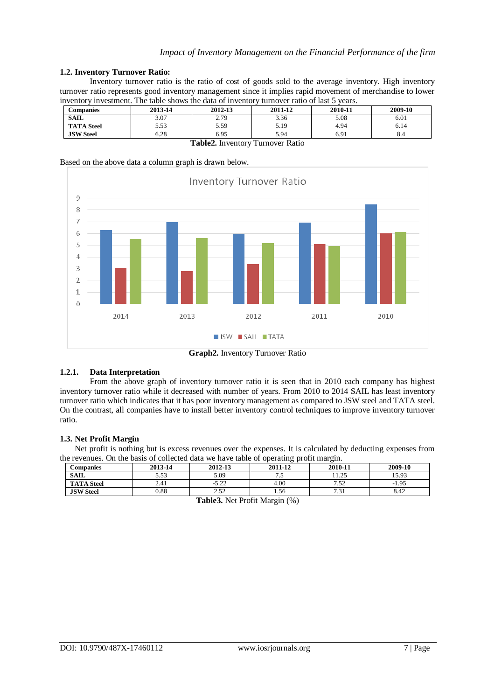#### **1.2. Inventory Turnover Ratio:**

Inventory turnover ratio is the ratio of cost of goods sold to the average inventory. High inventory turnover ratio represents good inventory management since it implies rapid movement of merchandise to lower inventory investment. The table shows the data of inventory turnover ratio of last 5 years.

| <b>Companies</b>                 | 2013-14 | 2012-13 | 2011-12 | 2010-11 | 2009-10 |  |
|----------------------------------|---------|---------|---------|---------|---------|--|
| <b>SAIL</b>                      | 3.07    | 2.79    | 3.36    | 5.08    | 6.01    |  |
| <b>TATA Steel</b>                | 5.53    | 5.59    | 5.19    | 4.94    | 6.14    |  |
| <b>JSW Steel</b>                 | 6.28    | 6.95    | 5.94    | 6.91    | 8.4     |  |
| Table2. Inventory Turnover Ratio |         |         |         |         |         |  |

Based on the above data a column graph is drawn below.



**Graph2.** Inventory Turnover Ratio

# **1.2.1. Data Interpretation**

From the above graph of inventory turnover ratio it is seen that in 2010 each company has highest inventory turnover ratio while it decreased with number of years. From 2010 to 2014 SAIL has least inventory turnover ratio which indicates that it has poor inventory management as compared to JSW steel and TATA steel. On the contrast, all companies have to install better inventory control techniques to improve inventory turnover ratio.

#### **1.3. Net Profit Margin**

Net profit is nothing but is excess revenues over the expenses. It is calculated by deducting expenses from the revenues. On the basis of collected data we have table of operating profit margin.

| Companies                                                                                                                                                                                                                       | 2013-14 | 2012-13 | 2011-12 | 2010-11          | 2009-10 |  |
|---------------------------------------------------------------------------------------------------------------------------------------------------------------------------------------------------------------------------------|---------|---------|---------|------------------|---------|--|
|                                                                                                                                                                                                                                 |         |         |         |                  |         |  |
| <b>SAIL</b>                                                                                                                                                                                                                     | 5.53    | 5.09    | ن. ا    | 11.25            | 15.93   |  |
| <b>TATA Steel</b>                                                                                                                                                                                                               | 2.41    | $-5.22$ | 4.00    | フ よつ<br>سے بی بر | $-1.95$ |  |
| <b>JSW</b> Steel                                                                                                                                                                                                                | 0.88    | ے رہے   | 1.56    | 731<br>، ب       | 8.42    |  |
| $\sim$ . The set of the set of the set of the set of the set of the set of the set of the set of the set of the set of the set of the set of the set of the set of the set of the set of the set of the set of the set of the s |         |         |         |                  |         |  |

**Table3.** Net Profit Margin (%)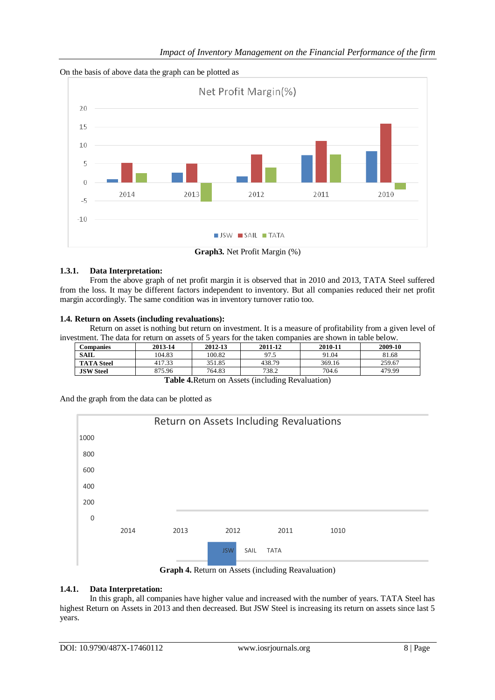



**Graph3.** Net Profit Margin (%)

## **1.3.1. Data Interpretation:**

From the above graph of net profit margin it is observed that in 2010 and 2013, TATA Steel suffered from the loss. It may be different factors independent to inventory. But all companies reduced their net profit margin accordingly. The same condition was in inventory turnover ratio too.

## **1.4. Return on Assets (including revaluations):**

Return on asset is nothing but return on investment. It is a measure of profitability from a given level of investment. The data for return on assets of 5 years for the taken companies are shown in table below.

| Companies         | 2013-14 | 2012-13 | 2011-12 | 2010-11 | 2009-10 |
|-------------------|---------|---------|---------|---------|---------|
| <b>SAIL</b>       | 104.83  | 100.82  | 97.5    | 91.04   | 81.68   |
| <b>TATA Steel</b> | 417.33  | 351.85  | 438.79  | 369.16  | 259.67  |
| <b>JSW Steel</b>  | 875.96  | 764.83  | 738.2   | 704.6   | 479.99  |

**Table 4.**Return on Assets (including Revaluation)

0 200 400 600 800 1000 2014 2013 2012 2011 1010 Return on Assets Including Revaluations JSW SAIL TATA **Graph 4.** Return on Assets (including Reavaluation)

And the graph from the data can be plotted as



# **1.4.1. Data Interpretation:**

In this graph, all companies have higher value and increased with the number of years. TATA Steel has highest Return on Assets in 2013 and then decreased. But JSW Steel is increasing its return on assets since last 5 years.

j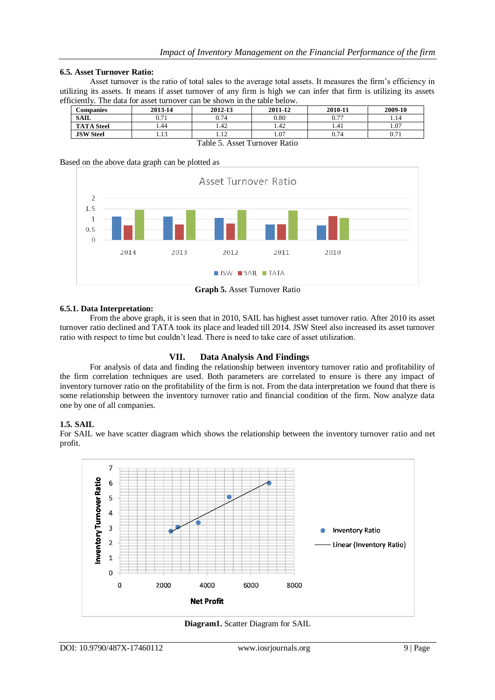#### **6.5. Asset Turnover Ratio:**

Asset turnover is the ratio of total sales to the average total assets. It measures the firm's efficiency in utilizing its assets. It means if asset turnover of any firm is high we can infer that firm is utilizing its assets efficiently. The data for asset turnover can be shown in the table below.

| <b>Companies</b>                                                             | 2013-14                    | 2012-13             | 2011-12 | 2010-11      | 2009-10 |  |
|------------------------------------------------------------------------------|----------------------------|---------------------|---------|--------------|---------|--|
| <b>SAIL</b>                                                                  | $\sim$ $-1$<br>$U \cdot L$ | 0.74                | 0.80    | n 77<br>v. 1 | 1.14    |  |
| <b>TATA Steel</b>                                                            | 1.44                       | 1.42                | 1.42    | 1.41         | 1.07    |  |
| <b>JSW</b> Steel                                                             |                            | 1 <sub>2</sub><br>. | 1.07    | 0.74         | 0.71    |  |
| $\mathbf{r}$<br><b>m</b> 1 1<br>$\overline{\phantom{0}}$<br>$\sim$ mm $\sim$ |                            |                     |         |              |         |  |

Table 5. Asset Turnover Ratio

Based on the above data graph can be plotted as



**Graph 5.** Asset Turnover Ratio

#### **6.5.1. Data Interpretation:**

From the above graph, it is seen that in 2010, SAIL has highest asset turnover ratio. After 2010 its asset turnover ratio declined and TATA took its place and leaded till 2014. JSW Steel also increased its asset turnover ratio with respect to time but couldn't lead. There is need to take care of asset utilization.

#### **VII. Data Analysis And Findings**

For analysis of data and finding the relationship between inventory turnover ratio and profitability of the firm correlation techniques are used. Both parameters are correlated to ensure is there any impact of inventory turnover ratio on the profitability of the firm is not. From the data interpretation we found that there is some relationship between the inventory turnover ratio and financial condition of the firm. Now analyze data one by one of all companies.

#### **1.5. SAIL**

For SAIL we have scatter diagram which shows the relationship between the inventory turnover ratio and net profit.



**Diagram1.** Scatter Diagram for SAIL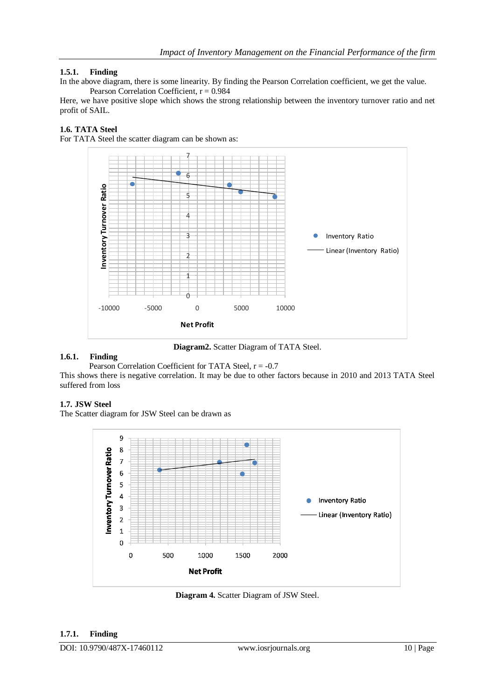## **1.5.1. Finding**

In the above diagram, there is some linearity. By finding the Pearson Correlation coefficient, we get the value. Pearson Correlation Coefficient,  $r = 0.984$ 

Here, we have positive slope which shows the strong relationship between the inventory turnover ratio and net profit of SAIL.

#### **1.6. TATA Steel**

For TATA Steel the scatter diagram can be shown as:



**Diagram2.** Scatter Diagram of TATA Steel.

#### **1.6.1. Finding**

Pearson Correlation Coefficient for TATA Steel,  $r = -0.7$ This shows there is negative correlation. It may be due to other factors because in 2010 and 2013 TATA Steel suffered from loss

#### **1.7. JSW Steel**

The Scatter diagram for JSW Steel can be drawn as



**Diagram 4.** Scatter Diagram of JSW Steel.

# **1.7.1. Finding**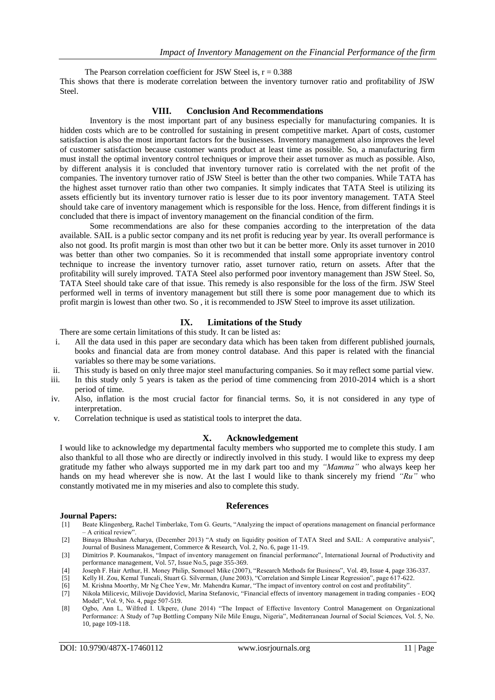The Pearson correlation coefficient for JSW Steel is,  $r = 0.388$ This shows that there is moderate correlation between the inventory turnover ratio and profitability of JSW Steel.

#### **VIII. Conclusion And Recommendations**

Inventory is the most important part of any business especially for manufacturing companies. It is hidden costs which are to be controlled for sustaining in present competitive market. Apart of costs, customer satisfaction is also the most important factors for the businesses. Inventory management also improves the level of customer satisfaction because customer wants product at least time as possible. So, a manufacturing firm must install the optimal inventory control techniques or improve their asset turnover as much as possible. Also, by different analysis it is concluded that inventory turnover ratio is correlated with the net profit of the companies. The inventory turnover ratio of JSW Steel is better than the other two companies. While TATA has the highest asset turnover ratio than other two companies. It simply indicates that TATA Steel is utilizing its assets efficiently but its inventory turnover ratio is lesser due to its poor inventory management. TATA Steel should take care of inventory management which is responsible for the loss. Hence, from different findings it is concluded that there is impact of inventory management on the financial condition of the firm.

Some recommendations are also for these companies according to the interpretation of the data available. SAIL is a public sector company and its net profit is reducing year by year. Its overall performance is also not good. Its profit margin is most than other two but it can be better more. Only its asset turnover in 2010 was better than other two companies. So it is recommended that install some appropriate inventory control technique to increase the inventory turnover ratio, asset turnover ratio, return on assets. After that the profitability will surely improved. TATA Steel also performed poor inventory management than JSW Steel. So, TATA Steel should take care of that issue. This remedy is also responsible for the loss of the firm. JSW Steel performed well in terms of inventory management but still there is some poor management due to which its profit margin is lowest than other two. So , it is recommended to JSW Steel to improve its asset utilization.

# **IX. Limitations of the Study**

There are some certain limitations of this study. It can be listed as:

- i. All the data used in this paper are secondary data which has been taken from different published journals, books and financial data are from money control database. And this paper is related with the financial variables so there may be some variations.
- ii. This study is based on only three major steel manufacturing companies. So it may reflect some partial view.
- iii. In this study only 5 years is taken as the period of time commencing from 2010-2014 which is a short period of time.
- iv. Also, inflation is the most crucial factor for financial terms. So, it is not considered in any type of interpretation.
- v. Correlation technique is used as statistical tools to interpret the data.

#### **X. Acknowledgement**

I would like to acknowledge my departmental faculty members who supported me to complete this study. I am also thankful to all those who are directly or indirectly involved in this study. I would like to express my deep gratitude my father who always supported me in my dark part too and my *"Mamma"* who always keep her hands on my head wherever she is now. At the last I would like to thank sincerely my friend *"Ru"* who constantly motivated me in my miseries and also to complete this study.

#### **References**

#### **Journal Papers:**

- [1] Beate Klingenberg, Rachel Timberlake, Tom G. Geurts, "Analyzing the impact of operations management on financial performance – A critical review'
- [2] Binaya Bhushan Acharya, (December 2013) "A study on liquidity position of TATA Steel and SAIL: A comparative analysis", Journal of Business Management, Commerce & Research, Vol. 2, No. 6, page 11-19.
- [3] Dimitrios P. Koumanakos, "Impact of inventory management on financial performance", International Journal of Productivity and performance management, Vol. 57, Issue No.5, page 355-369.
- [4] Joseph F. Hair Arthur, H. Money Philip, Somouel Mike (2007), "Research Methods for Business", Vol. 49, Issue 4, page 336-337.
- [5] Kelly H. Zou, Kemal Tuncali, Stuart G. Silverman, (June 2003), "Correlation and Simple Linear Regression", page 617-622.
- [6] M. Krishna Moorthy, Mr Ng Chee Yew, Mr. Mahendra Kumar, "The impact of inventory control on cost and profitability".
- [7] Nikola Milicevic, Milivoje Davidovicl, Marina Stefanovic, "Financial effects of inventory management in trading companies EOQ Model", Vol. 9, No. 4, page 507-519.
- [8] Ogbo, Ann L, Wilfred I. Ukpere, (June 2014) "The Impact of Effective Inventory Control Management on Organizational Performance: A Study of 7up Bottling Company Nile Mile Enugu, Nigeria", Mediterranean Journal of Social Sciences, Vol. 5, No. 10, page 109-118.